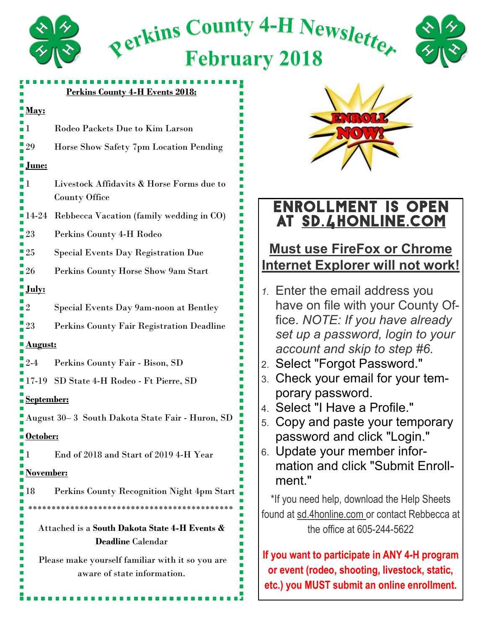

#### **Perkins County 4-H Events 2018:**

#### **May:**

- 1 Rodeo Packets Due to Kim Larson
- 29 Horse Show Safety 7pm Location Pending

#### **June:**

- 1 Livestock Affidavits & Horse Forms due to County Office
- 14-24 Rebbecca Vacation (family wedding in CO)
- 23 Perkins County 4-H Rodeo
- 25 Special Events Day Registration Due
- 26 Perkins County Horse Show 9am Start

#### **July:**

- 2 Special Events Day 9am-noon at Bentley
- 23 Perkins County Fair Registration Deadline

#### **August:**

- 2-4 Perkins County Fair Bison, SD
- 17-19 SD State 4-H Rodeo Ft Pierre, SD

#### **September:**

August 30– 3 South Dakota State Fair - Huron, SD

#### **October:**

1 End of 2018 and Start of 2019 4-H Year

#### **November:**

18 Perkins County Recognition Night 4pm Start \*\*\*\*\*\*\*\*\*\*\*\*\*\*\*\*\*\*\*\*\*\*\*\*\*\*\*\*\*\*\*\*\*\*\*\*\*\*\*\*\*\*\*\*

Attached is a **South Dakota State 4-H Events & Deadline** Calendar

Please make yourself familiar with it so you are aware of state information.



## Enrollment is open at sd.4honline.com

### **Must use FireFox or Chrome Internet Explorer will not work!**

- *1.* Enter the email address you have on file with your County Office. *NOTE: If you have already set up a password, login to your account and skip to step #6.*
- 2. Select "Forgot Password."
- 3. Check your email for your temporary password.
- 4. Select "I Have a Profile."
- 5. Copy and paste your temporary password and click "Login."
- 6. Update your member information and click "Submit Enrollment."

\*If you need help, download the Help Sheets found at sd.4honline.com or contact Rebbecca at the office at 605-244-5622

**If you want to participate in ANY 4-H program or event (rodeo, shooting, livestock, static, etc.) you MUST submit an online enrollment.**